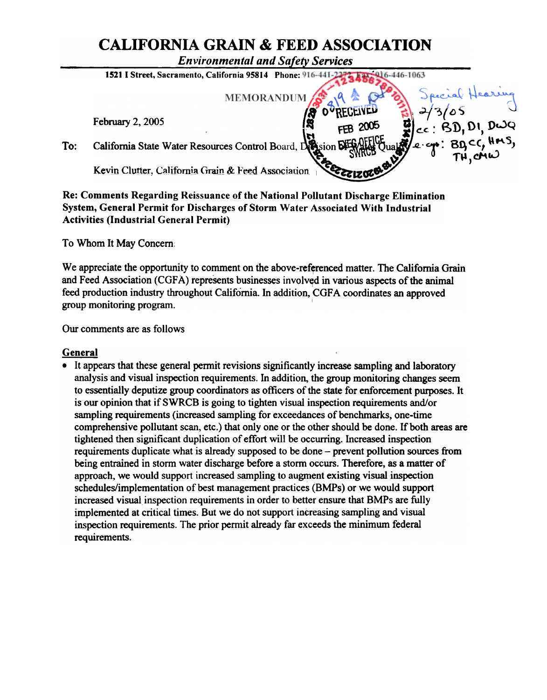# CALIFORNIA GRAIN & FEED ASSOCIATION

Environmental and Safety Services



Re: Comments Regarding Reissuance of the National Pollutant Discharge Elimination System, General Permit for Discharges of Storm Water Associated With Industrial Activities (Industrial General Permit)

To Whom It May Concern:

We appreciate the opportunity to comment on the above-referenced matter. The California Grain and Feed Association (CGFA) represents businesses involved in various aspects of the animal feed production industry throughout California. In addition, CGFA coordinates an approved group monitoring program.

Our comments are as follows

## General

. It appears that these general pennit revisions significantly increase sampling and laboratory analysis and visual inspection requirements. In addition, the group monitoring changes seem to essentially deputize group coordinators as officers of the state for enforcement purposes. It is our opinion that if SWRCB is going to tighten visual inspection requirements and/or sampling requirements (increased sampling for exceedances of benchmarks, one-time comprehensive pollutant scan, etc.) that only one or the other should be done. If both areas are tightened then significant duplication of effort will be occurring. Increased inspection requirements duplicate what is already supposed to be done – prevent pollution sources from being entrained in storm water discharge before a storm occurs. Therefore, as a matter of approach, we would support increased sampling to augment existing visual inspection schedules/implementation of best management practices (BMPs) or we would support increased visual inspection requirements in order to better ensure that BMPs are fully implemented at critical times. But we do not support increasing sampling and visual inspection requirements. The prior permit already far exceeds the minimum federal requirements.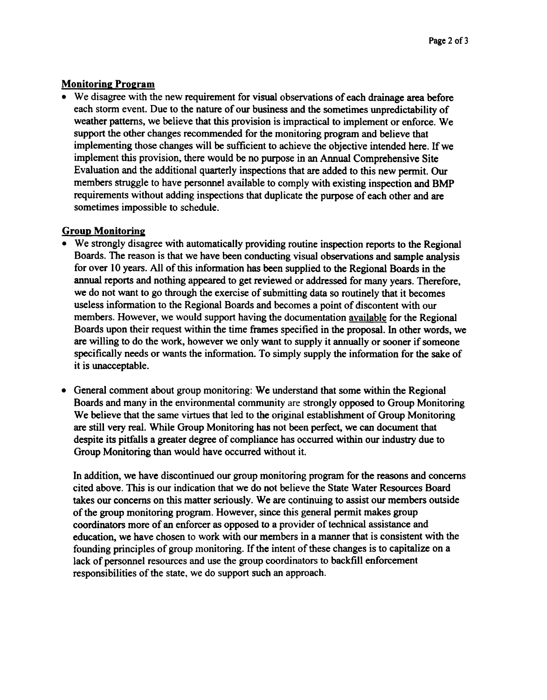## **Monitoring Program**

• We disagree with the new requirement for visual observations of each drainage area before each storm event. Due to the nature of our business and the sometimes unpredictability of weather patterns, we believe that this provision is impractical to implement or enforce. We support the other changes recommended for the monitoring program and believe that implementing those changes will be sufficient to achieve the objective intended here. If we implement this provision, there would be no purpose in an Annual Comprehensive Site Evaluation and the additional quarterly inspections that are added to this new permit. Our members struggle to have personnel available to comply with existing inspection and BMP requirements without adding inspections that duplicate the purpose of each other and are sometimes impossible to schedule.

#### Group Monitorine:

- We strongly disagree with automatically providing routine inspection reports to the Regional Boards. The reason is that we have been conducting visual observations and sample analysis for over 10 years. All of this information has been supplied to the Regional Boards in the annual reports and nothing appeared to get reviewed or addressed for many years. Therefore, we do not want to go through the exercise of submitting data so routinely that it becomes useless information to the Regional Boards and becomes a point of discontent with our members. However, we would support having the documentation available for the Regional Boards upon their request within the time frames specified in the proposal. In other words, we are willing to do the work, however we only want to supply it annually or sooner if someone specifically needs or wants the information. To simply supply the information for the sake of it is unacceptable.
- General comment about group monitoring: We understand that some within the Regional Boards and many in the environmental community are strongly opposed to Group Monitoring We believe that the same virtues that led to the original establishment of Group Monitoring are still very real. While Group Monitoring has not been perfect, we can document that despite its pitfalls a greater degree of compliance has occurred within our industry due to Group Monitoring than would have occurred without it.

In addition, we have discontinued our group monitoring program for the reasons and concerns cited above. This is our indication that we do not believe the State Water Resources Board takes our concerns on this matter seriously. We are continuing to assist our members outside of the group monitoring program. However, since this general permit makes group coordinators more of an enforcer as opposed to a provider of technical assistance and education, we have chosen to work with our members in a manner that is consistent with the founding principles of group monitoring. If the intent of these changes is to capitalize on a lack of personnel resources and use the group coordinators to backfill enforcementresponsibilities of the state, we do support such an approach.